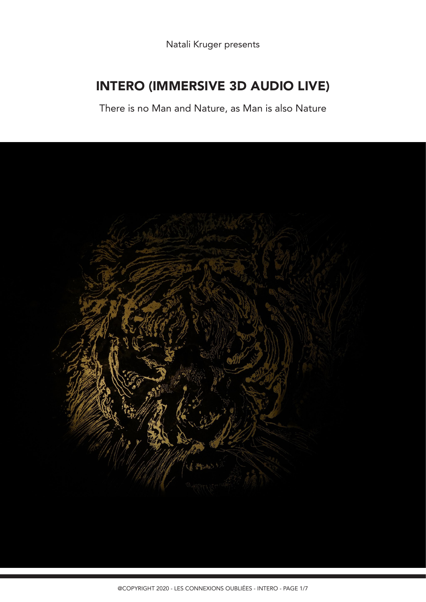Natali Kruger presents

# INTERO (IMMERSIVE 3D AUDIO LIVE)

There is no Man and Nature, as Man is also Nature

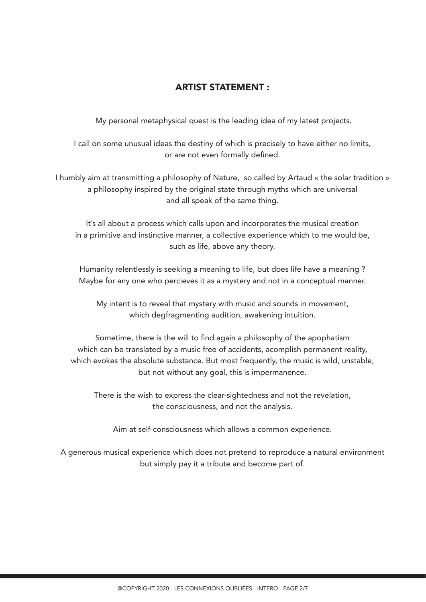## ARTIST STATEMENT :

My personal metaphysical quest is the leading idea of my latest projects.

I call on some unusual ideas the destiny of which is precisely to have either no limits, or are not even formally defined.

I humbly aim at transmitting a philosophy of Nature, so called by Artaud « the solar tradition » a philosophy inspired by the original state through myths which are universal and all speak of the same thing.

It's all about a process which calls upon and incorporates the musical creation in a primitive and instinctive manner, a collective experience which to me would be, such as life, above any theory.

Humanity relentlessly is seeking a meaning to life, but does life have a meaning ? Maybe for any one who percieves it as a mystery and not in a conceptual manner.

My intent is to reveal that mystery with music and sounds in movement, which degfragmenting audition, awakening intuition.

Sometime, there is the will to find again a philosophy of the apophatism which can be translated by a music free of accidents, acomplish permanent reality, which evokes the absolute substance. But most frequently, the music is wild, unstable, but not without any goal, this is impermanence.

There is the wish to express the clear-sightedness and not the revelation, the consciousness, and not the analysis.

Aim at self-consciousness which allows a common experience.

A generous musical experience which does not pretend to reproduce a natural environment but simply pay it a tribute and become part of.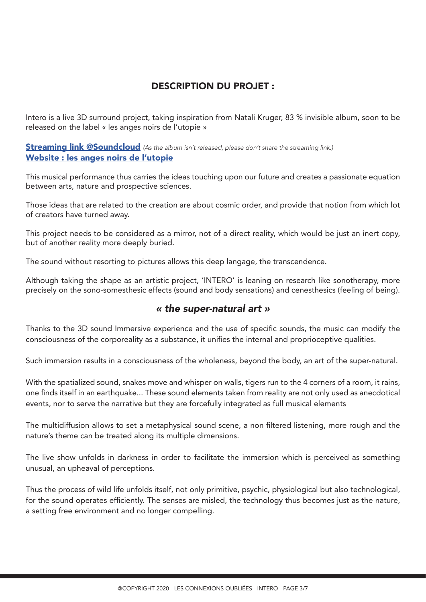# DESCRIPTION DU PROJET :

Intero is a live 3D surround project, taking inspiration from Natali Kruger, 83 % invisible album, soon to be released on the label « les anges noirs de l'utopie »

### **Streaming link @Soundcloud** (As the album isn't released, please don't share the streaming link.) Website : les anges noirs de l'utopie

This musical performance thus carries the ideas touching upon our future and creates a passionate equation between arts, nature and prospective sciences.

Those ideas that are related to the creation are about cosmic order, and provide that notion from which lot of creators have turned away.

This project needs to be considered as a mirror, not of a direct reality, which would be just an inert copy, but of another reality more deeply buried.

The sound without resorting to pictures allows this deep langage, the transcendence.

Although taking the shape as an artistic project, 'INTERO' is leaning on research like sonotherapy, more precisely on the sono-somesthesic effects (sound and body sensations) and cenesthesics (feeling of being).

### « the super-natural art »

Thanks to the 3D sound Immersive experience and the use of specific sounds, the music can modify the consciousness of the corporeality as a substance, it unifies the internal and proprioceptive qualities.

Such immersion results in a consciousness of the wholeness, beyond the body, an art of the super-natural.

With the spatialized sound, snakes move and whisper on walls, tigers run to the 4 corners of a room, it rains, one finds itself in an earthquake... These sound elements taken from reality are not only used as anecdotical events, nor to serve the narrative but they are forcefully integrated as full musical elements

The multidiffusion allows to set a metaphysical sound scene, a non filtered listening, more rough and the nature's theme can be treated along its multiple dimensions.

The live show unfolds in darkness in order to facilitate the immersion which is perceived as something unusual, an upheaval of perceptions.

Thus the process of wild life unfolds itself, not only primitive, psychic, physiological but also technological, for the sound operates efficiently. The senses are misled, the technology thus becomes just as the nature, a setting free environment and no longer compelling.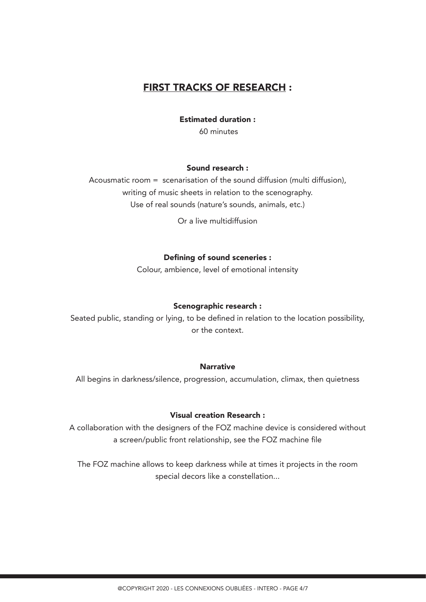# FIRST TRACKS OF RESEARCH :

Estimated duration :

60 minutes

#### Sound research :

Acousmatic room = scenarisation of the sound diffusion (multi diffusion), writing of music sheets in relation to the scenography. Use of real sounds (nature's sounds, animals, etc.)

Or a live multidiffusion

#### Defining of sound sceneries :

Colour, ambience, level of emotional intensity

#### Scenographic research :

Seated public, standing or lying, to be defined in relation to the location possibility, or the context.

#### **Narrative**

All begins in darkness/silence, progression, accumulation, climax, then quietness

#### Visual creation Research :

A collaboration with the designers of the FOZ machine device is considered without a screen/public front relationship, see the FOZ machine file

The FOZ machine allows to keep darkness while at times it projects in the room special decors like a constellation...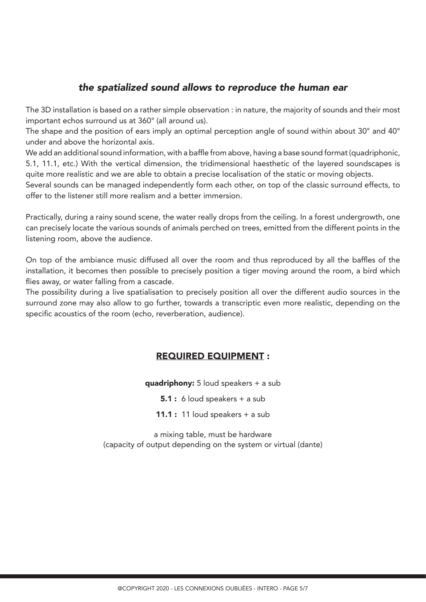# the spatialized sound allows to reproduce the human ear

The 3D installation is based on a rather simple observation : in nature, the majority of sounds and their most important echos surround us at 360° (all around us).

The shape and the position of ears imply an optimal perception angle of sound within about 30° and 40° under and above the horizontal axis.

We add an additional sound information, with a baffle from above, having a base sound format (quadriphonic, 5.1, 11.1, etc.) With the vertical dimension, the tridimensional haesthetic of the layered soundscapes is quite more realistic and we are able to obtain a precise localisation of the static or moving objects.

Several sounds can be managed independently form each other, on top of the classic surround effects, to offer to the listener still more realism and a better immersion.

Practically, during a rainy sound scene, the water really drops from the ceiling. In a forest undergrowth, one can precisely locate the various sounds of animals perched on trees, emitted from the different points in the listening room, above the audience.

On top of the ambiance music diffused all over the room and thus reproduced by all the baffles of the installation, it becomes then possible to precisely position a tiger moving around the room, a bird which flies away, or water falling from a cascade.

The possibility during a live spatialisation to precisely position all over the different audio sources in the surround zone may also allow to go further, towards a transcriptic even more realistic, depending on the specific acoustics of the room (echo, reverberation, audience).

### REQUIRED EQUIPMENT :

quadriphony:  $5$  loud speakers  $+$  a sub

**5.1** : 6 loud speakers  $+$  a sub

11.1 : 11 loud speakers  $+$  a sub

a mixing table, must be hardware (capacity of output depending on the system or virtual (dante)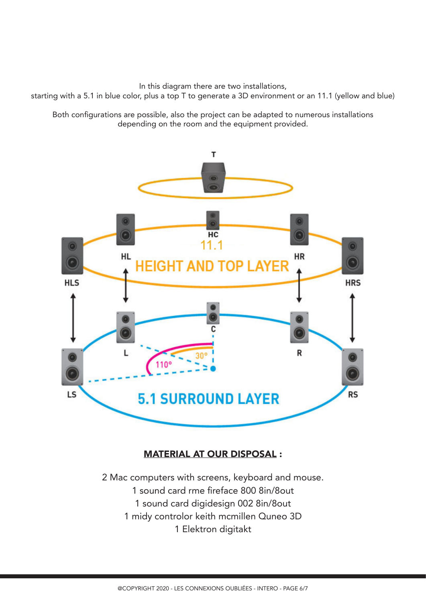In this diagram there are two installations,

starting with a 5.1 in blue color, plus a top T to generate a 3D environment or an 11.1 (yellow and blue)

Both configurations are possible, also the project can be adapted to numerous installations depending on the room and the equipment provided.



## MATERIAL AT OUR DISPOSAL :

2 Mac computers with screens, keyboard and mouse. 1 sound card rme fireface 800 8in/8out 1 sound card digidesign 002 8in/8out 1 midy controlor keith mcmillen Quneo 3D 1 Elektron digitakt